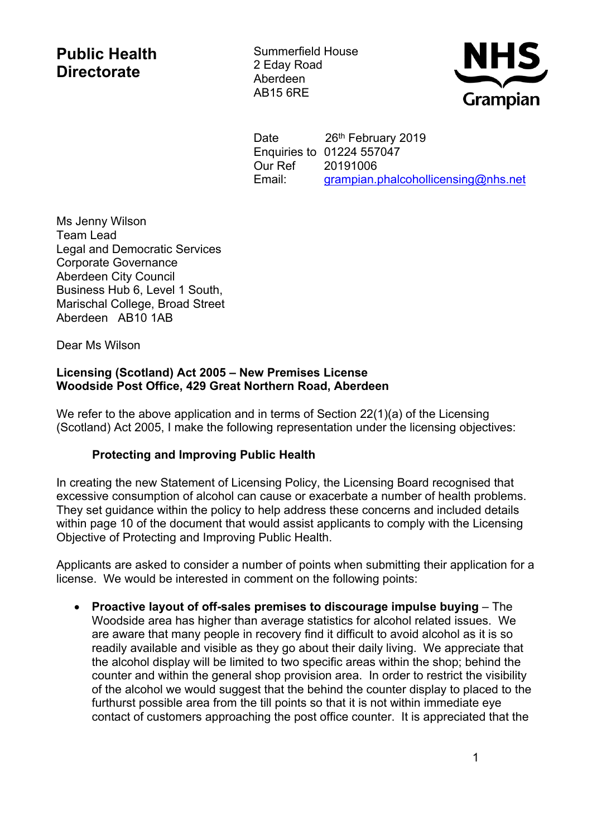## **Public Health Directorate**

Summerfield House 2 Eday Road Aberdeen AB15 6RE



Date 26th February 2019 Enquiries to 01224 557047 Our Ref 20191006 Email: [grampian.phalcohollicensing@nhs.net](https://nhsmail1.nhs.net/owa/redir.aspx?SURL=F0-9RO9LBMG1xHU0THPwUNA1L0mS_lqkvh_TZiLIxOsEbXaT8I7TCG0AYQBpAGwAdABvADoAZwByAGEAbQBwAGkAYQBuAC4AcABoAGEAbABjAG8AaABvAGwAbABpAGMAZQBuAHMAaQBuAGcAQABuAGgAcwAuAG4AZQB0AA..&URL=mailto%3agrampian.phalcohollicensing%40nhs.net)

Ms Jenny Wilson Team Lead Legal and Democratic Services Corporate Governance Aberdeen City Council Business Hub 6, Level 1 South, Marischal College, Broad Street Aberdeen AB10 1AB

Dear Ms Wilson

## **Licensing (Scotland) Act 2005 – New Premises License Woodside Post Office, 429 Great Northern Road, Aberdeen**

We refer to the above application and in terms of Section 22(1)(a) of the Licensing (Scotland) Act 2005, I make the following representation under the licensing objectives:

## **Protecting and Improving Public Health**

In creating the new Statement of Licensing Policy, the Licensing Board recognised that excessive consumption of alcohol can cause or exacerbate a number of health problems. They set guidance within the policy to help address these concerns and included details within page 10 of the document that would assist applicants to comply with the Licensing Objective of Protecting and Improving Public Health.

Applicants are asked to consider a number of points when submitting their application for a license. We would be interested in comment on the following points:

 **Proactive layout of off-sales premises to discourage impulse buying** – The Woodside area has higher than average statistics for alcohol related issues. We are aware that many people in recovery find it difficult to avoid alcohol as it is so readily available and visible as they go about their daily living. We appreciate that the alcohol display will be limited to two specific areas within the shop; behind the counter and within the general shop provision area. In order to restrict the visibility of the alcohol we would suggest that the behind the counter display to placed to the furthurst possible area from the till points so that it is not within immediate eye contact of customers approaching the post office counter. It is appreciated that the